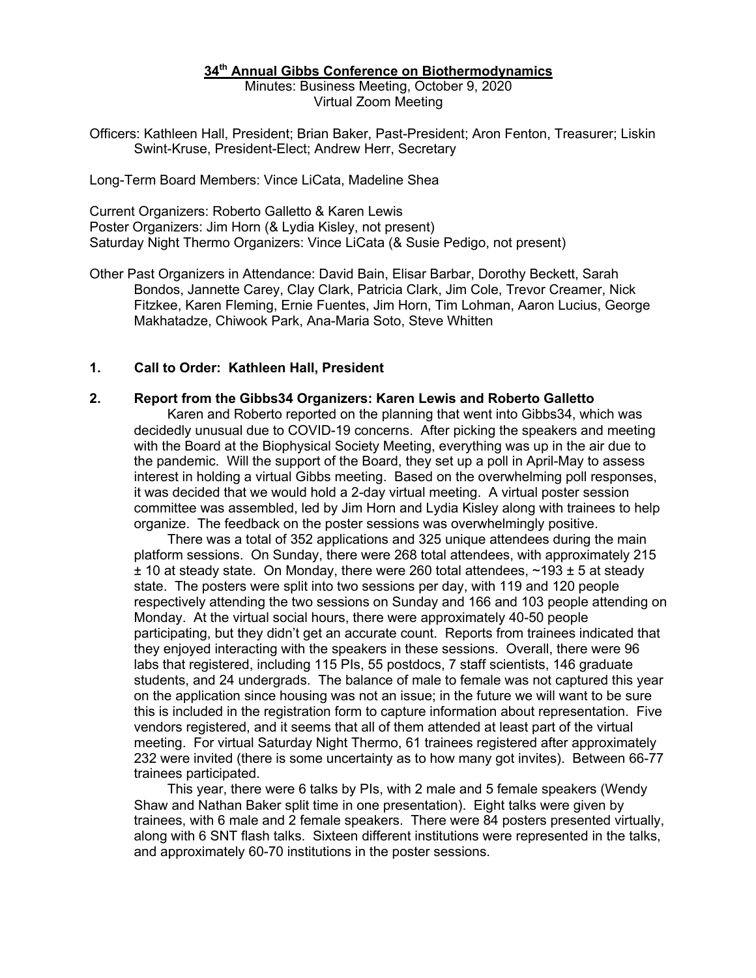### **34th Annual Gibbs Conference on Biothermodynamics**

Minutes: Business Meeting, October 9, 2020 Virtual Zoom Meeting

Officers: Kathleen Hall, President; Brian Baker, Past-President; Aron Fenton, Treasurer; Liskin Swint-Kruse, President-Elect; Andrew Herr, Secretary

Long-Term Board Members: Vince LiCata, Madeline Shea

Current Organizers: Roberto Galletto & Karen Lewis Poster Organizers: Jim Horn (& Lydia Kisley, not present) Saturday Night Thermo Organizers: Vince LiCata (& Susie Pedigo, not present)

Other Past Organizers in Attendance: David Bain, Elisar Barbar, Dorothy Beckett, Sarah Bondos, Jannette Carey, Clay Clark, Patricia Clark, Jim Cole, Trevor Creamer, Nick Fitzkee, Karen Fleming, Ernie Fuentes, Jim Horn, Tim Lohman, Aaron Lucius, George Makhatadze, Chiwook Park, Ana-Maria Soto, Steve Whitten

### **1. Call to Order: Kathleen Hall, President**

#### **2. Report from the Gibbs34 Organizers: Karen Lewis and Roberto Galletto**

Karen and Roberto reported on the planning that went into Gibbs34, which was decidedly unusual due to COVID-19 concerns. After picking the speakers and meeting with the Board at the Biophysical Society Meeting, everything was up in the air due to the pandemic. Will the support of the Board, they set up a poll in April-May to assess interest in holding a virtual Gibbs meeting. Based on the overwhelming poll responses, it was decided that we would hold a 2-day virtual meeting. A virtual poster session committee was assembled, led by Jim Horn and Lydia Kisley along with trainees to help organize. The feedback on the poster sessions was overwhelmingly positive.

There was a total of 352 applications and 325 unique attendees during the main platform sessions. On Sunday, there were 268 total attendees, with approximately 215  $\pm$  10 at steady state. On Monday, there were 260 total attendees,  $\sim$ 193  $\pm$  5 at steady state. The posters were split into two sessions per day, with 119 and 120 people respectively attending the two sessions on Sunday and 166 and 103 people attending on Monday. At the virtual social hours, there were approximately 40-50 people participating, but they didn't get an accurate count. Reports from trainees indicated that they enjoyed interacting with the speakers in these sessions. Overall, there were 96 labs that registered, including 115 PIs, 55 postdocs, 7 staff scientists, 146 graduate students, and 24 undergrads. The balance of male to female was not captured this year on the application since housing was not an issue; in the future we will want to be sure this is included in the registration form to capture information about representation. Five vendors registered, and it seems that all of them attended at least part of the virtual meeting. For virtual Saturday Night Thermo, 61 trainees registered after approximately 232 were invited (there is some uncertainty as to how many got invites). Between 66-77 trainees participated.

This year, there were 6 talks by PIs, with 2 male and 5 female speakers (Wendy Shaw and Nathan Baker split time in one presentation). Eight talks were given by trainees, with 6 male and 2 female speakers. There were 84 posters presented virtually, along with 6 SNT flash talks. Sixteen different institutions were represented in the talks, and approximately 60-70 institutions in the poster sessions.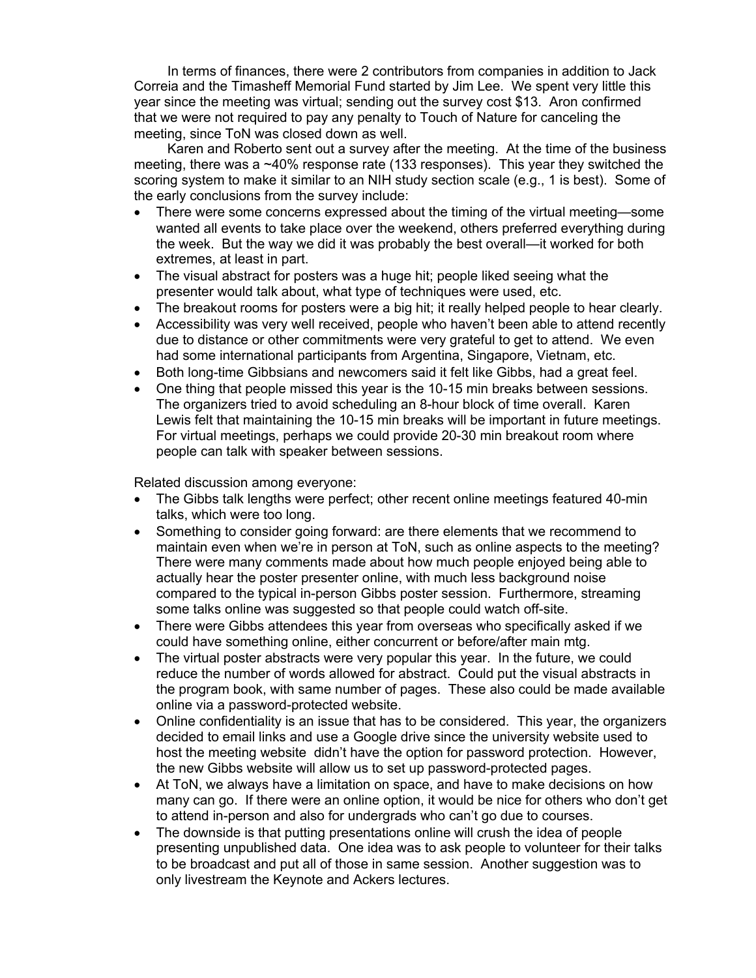In terms of finances, there were 2 contributors from companies in addition to Jack Correia and the Timasheff Memorial Fund started by Jim Lee. We spent very little this year since the meeting was virtual; sending out the survey cost \$13. Aron confirmed that we were not required to pay any penalty to Touch of Nature for canceling the meeting, since ToN was closed down as well.

Karen and Roberto sent out a survey after the meeting. At the time of the business meeting, there was a ~40% response rate (133 responses). This year they switched the scoring system to make it similar to an NIH study section scale (e.g., 1 is best). Some of the early conclusions from the survey include:

- There were some concerns expressed about the timing of the virtual meeting—some wanted all events to take place over the weekend, others preferred everything during the week. But the way we did it was probably the best overall—it worked for both extremes, at least in part.
- The visual abstract for posters was a huge hit; people liked seeing what the presenter would talk about, what type of techniques were used, etc.
- The breakout rooms for posters were a big hit; it really helped people to hear clearly.
- Accessibility was very well received, people who haven't been able to attend recently due to distance or other commitments were very grateful to get to attend. We even had some international participants from Argentina, Singapore, Vietnam, etc.
- Both long-time Gibbsians and newcomers said it felt like Gibbs, had a great feel.
- One thing that people missed this year is the 10-15 min breaks between sessions. The organizers tried to avoid scheduling an 8-hour block of time overall. Karen Lewis felt that maintaining the 10-15 min breaks will be important in future meetings. For virtual meetings, perhaps we could provide 20-30 min breakout room where people can talk with speaker between sessions.

Related discussion among everyone:

- The Gibbs talk lengths were perfect; other recent online meetings featured 40-min talks, which were too long.
- Something to consider going forward: are there elements that we recommend to maintain even when we're in person at ToN, such as online aspects to the meeting? There were many comments made about how much people enjoyed being able to actually hear the poster presenter online, with much less background noise compared to the typical in-person Gibbs poster session. Furthermore, streaming some talks online was suggested so that people could watch off-site.
- There were Gibbs attendees this year from overseas who specifically asked if we could have something online, either concurrent or before/after main mtg.
- The virtual poster abstracts were very popular this year. In the future, we could reduce the number of words allowed for abstract. Could put the visual abstracts in the program book, with same number of pages. These also could be made available online via a password-protected website.
- Online confidentiality is an issue that has to be considered. This year, the organizers decided to email links and use a Google drive since the university website used to host the meeting website didn't have the option for password protection. However, the new Gibbs website will allow us to set up password-protected pages.
- At ToN, we always have a limitation on space, and have to make decisions on how many can go. If there were an online option, it would be nice for others who don't get to attend in-person and also for undergrads who can't go due to courses.
- The downside is that putting presentations online will crush the idea of people presenting unpublished data. One idea was to ask people to volunteer for their talks to be broadcast and put all of those in same session. Another suggestion was to only livestream the Keynote and Ackers lectures.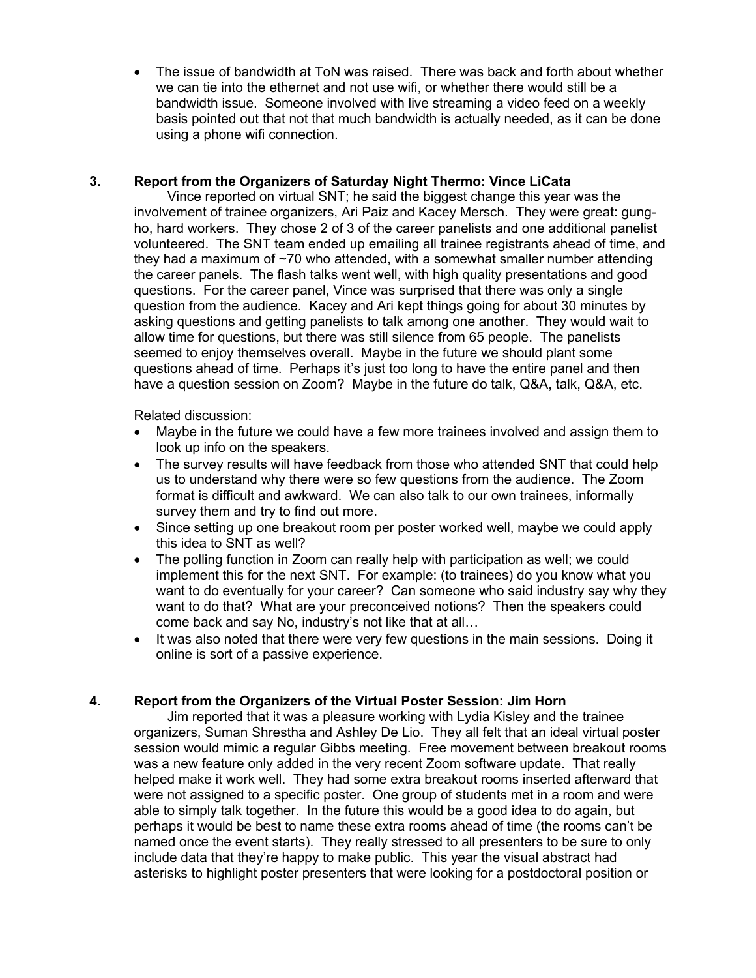• The issue of bandwidth at ToN was raised. There was back and forth about whether we can tie into the ethernet and not use wifi, or whether there would still be a bandwidth issue. Someone involved with live streaming a video feed on a weekly basis pointed out that not that much bandwidth is actually needed, as it can be done using a phone wifi connection.

# **3. Report from the Organizers of Saturday Night Thermo: Vince LiCata**

Vince reported on virtual SNT; he said the biggest change this year was the involvement of trainee organizers, Ari Paiz and Kacey Mersch. They were great: gungho, hard workers. They chose 2 of 3 of the career panelists and one additional panelist volunteered. The SNT team ended up emailing all trainee registrants ahead of time, and they had a maximum of ~70 who attended, with a somewhat smaller number attending the career panels. The flash talks went well, with high quality presentations and good questions. For the career panel, Vince was surprised that there was only a single question from the audience. Kacey and Ari kept things going for about 30 minutes by asking questions and getting panelists to talk among one another. They would wait to allow time for questions, but there was still silence from 65 people. The panelists seemed to enjoy themselves overall. Maybe in the future we should plant some questions ahead of time. Perhaps it's just too long to have the entire panel and then have a question session on Zoom? Maybe in the future do talk, Q&A, talk, Q&A, etc.

Related discussion:

- Maybe in the future we could have a few more trainees involved and assign them to look up info on the speakers.
- The survey results will have feedback from those who attended SNT that could help us to understand why there were so few questions from the audience. The Zoom format is difficult and awkward. We can also talk to our own trainees, informally survey them and try to find out more.
- Since setting up one breakout room per poster worked well, maybe we could apply this idea to SNT as well?
- The polling function in Zoom can really help with participation as well; we could implement this for the next SNT. For example: (to trainees) do you know what you want to do eventually for your career? Can someone who said industry say why they want to do that? What are your preconceived notions? Then the speakers could come back and say No, industry's not like that at all…
- It was also noted that there were very few questions in the main sessions. Doing it online is sort of a passive experience.

### **4. Report from the Organizers of the Virtual Poster Session: Jim Horn**

Jim reported that it was a pleasure working with Lydia Kisley and the trainee organizers, Suman Shrestha and Ashley De Lio. They all felt that an ideal virtual poster session would mimic a regular Gibbs meeting. Free movement between breakout rooms was a new feature only added in the very recent Zoom software update. That really helped make it work well. They had some extra breakout rooms inserted afterward that were not assigned to a specific poster. One group of students met in a room and were able to simply talk together. In the future this would be a good idea to do again, but perhaps it would be best to name these extra rooms ahead of time (the rooms can't be named once the event starts). They really stressed to all presenters to be sure to only include data that they're happy to make public. This year the visual abstract had asterisks to highlight poster presenters that were looking for a postdoctoral position or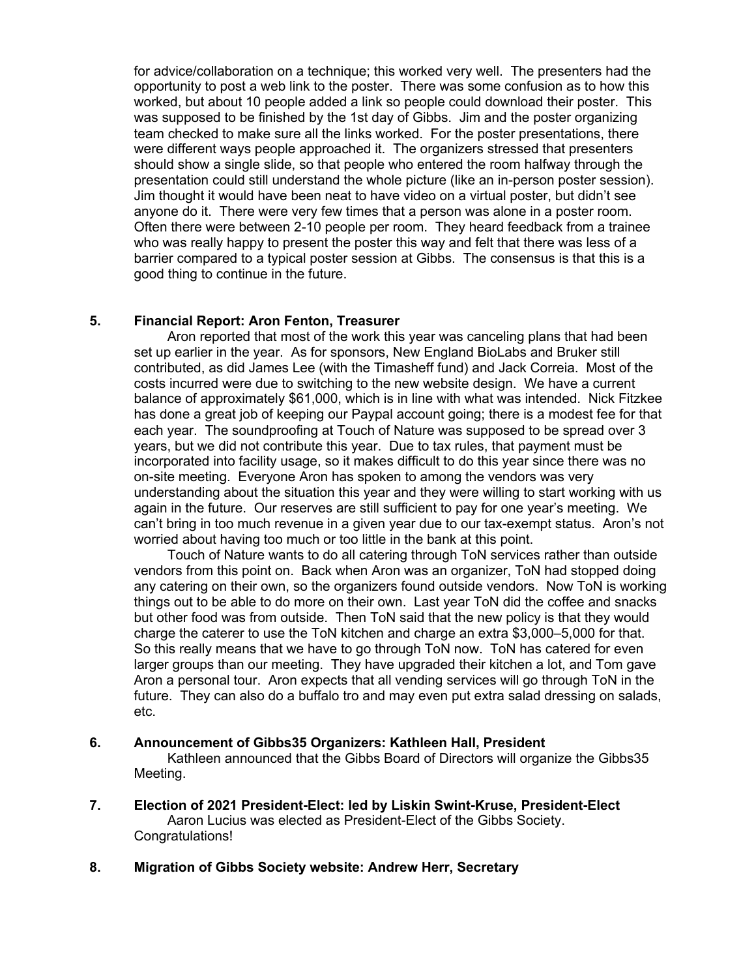for advice/collaboration on a technique; this worked very well. The presenters had the opportunity to post a web link to the poster. There was some confusion as to how this worked, but about 10 people added a link so people could download their poster. This was supposed to be finished by the 1st day of Gibbs. Jim and the poster organizing team checked to make sure all the links worked. For the poster presentations, there were different ways people approached it. The organizers stressed that presenters should show a single slide, so that people who entered the room halfway through the presentation could still understand the whole picture (like an in-person poster session). Jim thought it would have been neat to have video on a virtual poster, but didn't see anyone do it. There were very few times that a person was alone in a poster room. Often there were between 2-10 people per room. They heard feedback from a trainee who was really happy to present the poster this way and felt that there was less of a barrier compared to a typical poster session at Gibbs. The consensus is that this is a good thing to continue in the future.

# **5. Financial Report: Aron Fenton, Treasurer**

Aron reported that most of the work this year was canceling plans that had been set up earlier in the year. As for sponsors, New England BioLabs and Bruker still contributed, as did James Lee (with the Timasheff fund) and Jack Correia. Most of the costs incurred were due to switching to the new website design. We have a current balance of approximately \$61,000, which is in line with what was intended. Nick Fitzkee has done a great job of keeping our Paypal account going; there is a modest fee for that each year. The soundproofing at Touch of Nature was supposed to be spread over 3 years, but we did not contribute this year. Due to tax rules, that payment must be incorporated into facility usage, so it makes difficult to do this year since there was no on-site meeting. Everyone Aron has spoken to among the vendors was very understanding about the situation this year and they were willing to start working with us again in the future. Our reserves are still sufficient to pay for one year's meeting. We can't bring in too much revenue in a given year due to our tax-exempt status. Aron's not worried about having too much or too little in the bank at this point.

Touch of Nature wants to do all catering through ToN services rather than outside vendors from this point on. Back when Aron was an organizer, ToN had stopped doing any catering on their own, so the organizers found outside vendors. Now ToN is working things out to be able to do more on their own. Last year ToN did the coffee and snacks but other food was from outside. Then ToN said that the new policy is that they would charge the caterer to use the ToN kitchen and charge an extra \$3,000–5,000 for that. So this really means that we have to go through ToN now. ToN has catered for even larger groups than our meeting. They have upgraded their kitchen a lot, and Tom gave Aron a personal tour. Aron expects that all vending services will go through ToN in the future. They can also do a buffalo tro and may even put extra salad dressing on salads, etc.

### **6. Announcement of Gibbs35 Organizers: Kathleen Hall, President**

Kathleen announced that the Gibbs Board of Directors will organize the Gibbs35 Meeting.

- **7. Election of 2021 President-Elect: led by Liskin Swint-Kruse, President-Elect** Aaron Lucius was elected as President-Elect of the Gibbs Society. Congratulations!
- **8. Migration of Gibbs Society website: Andrew Herr, Secretary**